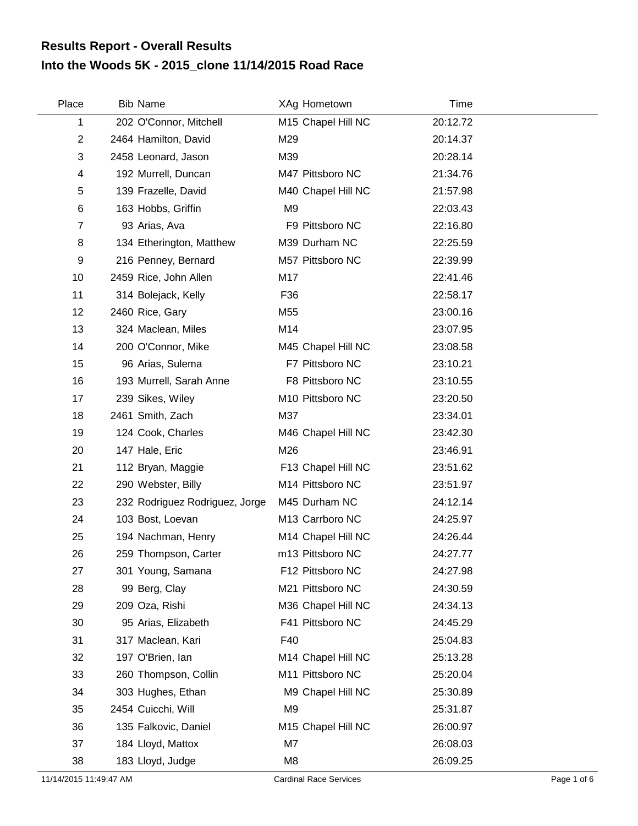## **Into the Woods 5K - 2015\_clone 11/14/2015 Road Race Results Report - Overall Results**

| Place        | <b>Bib Name</b>                |                 | XAg Hometown       | Time     |
|--------------|--------------------------------|-----------------|--------------------|----------|
| 1            | 202 O'Connor, Mitchell         |                 | M15 Chapel Hill NC | 20:12.72 |
| $\mathbf{2}$ | 2464 Hamilton, David           | M29             |                    | 20:14.37 |
| 3            | 2458 Leonard, Jason            | M39             |                    | 20:28.14 |
| 4            | 192 Murrell, Duncan            |                 | M47 Pittsboro NC   | 21:34.76 |
| 5            | 139 Frazelle, David            |                 | M40 Chapel Hill NC | 21:57.98 |
| 6            | 163 Hobbs, Griffin             | M <sub>9</sub>  |                    | 22:03.43 |
| 7            | 93 Arias, Ava                  |                 | F9 Pittsboro NC    | 22:16.80 |
| 8            | 134 Etherington, Matthew       |                 | M39 Durham NC      | 22:25.59 |
| 9            | 216 Penney, Bernard            |                 | M57 Pittsboro NC   | 22:39.99 |
| 10           | 2459 Rice, John Allen          | M17             |                    | 22:41.46 |
| 11           | 314 Bolejack, Kelly            | F36             |                    | 22:58.17 |
| 12           | 2460 Rice, Gary                | M <sub>55</sub> |                    | 23:00.16 |
| 13           | 324 Maclean, Miles             | M14             |                    | 23:07.95 |
| 14           | 200 O'Connor, Mike             |                 | M45 Chapel Hill NC | 23:08.58 |
| 15           | 96 Arias, Sulema               |                 | F7 Pittsboro NC    | 23:10.21 |
| 16           | 193 Murrell, Sarah Anne        |                 | F8 Pittsboro NC    | 23:10.55 |
| 17           | 239 Sikes, Wiley               |                 | M10 Pittsboro NC   | 23:20.50 |
| 18           | 2461 Smith, Zach               | M37             |                    | 23:34.01 |
| 19           | 124 Cook, Charles              |                 | M46 Chapel Hill NC | 23:42.30 |
| 20           | 147 Hale, Eric                 | M26             |                    | 23:46.91 |
| 21           | 112 Bryan, Maggie              |                 | F13 Chapel Hill NC | 23:51.62 |
| 22           | 290 Webster, Billy             |                 | M14 Pittsboro NC   | 23:51.97 |
| 23           | 232 Rodriguez Rodriguez, Jorge |                 | M45 Durham NC      | 24:12.14 |
| 24           | 103 Bost, Loevan               |                 | M13 Carrboro NC    | 24:25.97 |
| 25           | 194 Nachman, Henry             |                 | M14 Chapel Hill NC | 24:26.44 |
| 26           | 259 Thompson, Carter           |                 | m13 Pittsboro NC   | 24:27.77 |
| 27           | 301 Young, Samana              |                 | F12 Pittsboro NC   | 24:27.98 |
| 28           | 99 Berg, Clay                  |                 | M21 Pittsboro NC   | 24:30.59 |
| 29           | 209 Oza, Rishi                 |                 | M36 Chapel Hill NC | 24:34.13 |
| 30           | 95 Arias, Elizabeth            |                 | F41 Pittsboro NC   | 24:45.29 |
| 31           | 317 Maclean, Kari              | F40             |                    | 25:04.83 |
| 32           | 197 O'Brien, lan               |                 | M14 Chapel Hill NC | 25:13.28 |
| 33           | 260 Thompson, Collin           |                 | M11 Pittsboro NC   | 25:20.04 |
| 34           | 303 Hughes, Ethan              |                 | M9 Chapel Hill NC  | 25:30.89 |
| 35           | 2454 Cuicchi, Will             | M <sub>9</sub>  |                    | 25:31.87 |
| 36           | 135 Falkovic, Daniel           |                 | M15 Chapel Hill NC | 26:00.97 |
| 37           | 184 Lloyd, Mattox              | M7              |                    | 26:08.03 |
| 38           | 183 Lloyd, Judge               | M8              |                    | 26:09.25 |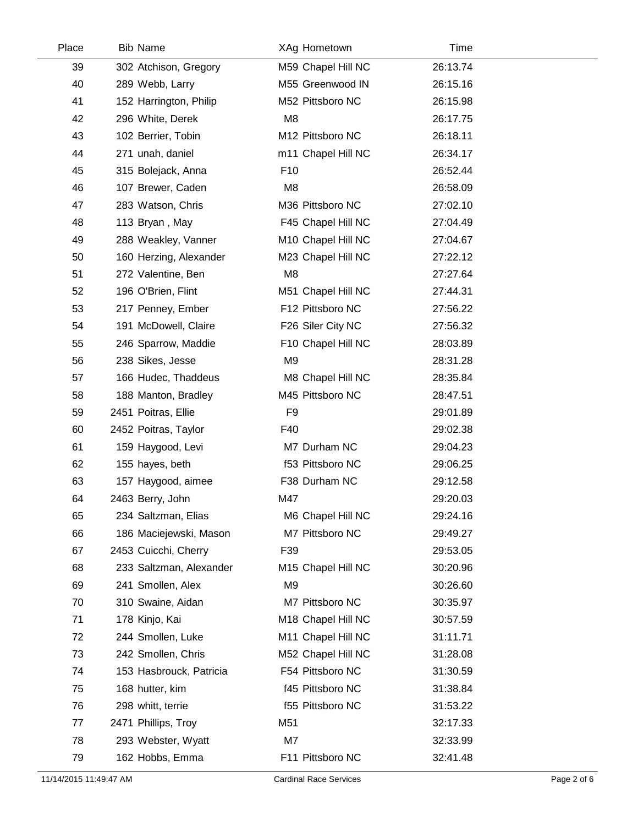| Place | <b>Bib Name</b>         |                 | XAg Hometown       | Time     |
|-------|-------------------------|-----------------|--------------------|----------|
| 39    | 302 Atchison, Gregory   |                 | M59 Chapel Hill NC | 26:13.74 |
| 40    | 289 Webb, Larry         |                 | M55 Greenwood IN   | 26:15.16 |
| 41    | 152 Harrington, Philip  |                 | M52 Pittsboro NC   | 26:15.98 |
| 42    | 296 White, Derek        | M <sub>8</sub>  |                    | 26:17.75 |
| 43    | 102 Berrier, Tobin      |                 | M12 Pittsboro NC   | 26:18.11 |
| 44    | 271 unah, daniel        |                 | m11 Chapel Hill NC | 26:34.17 |
| 45    | 315 Bolejack, Anna      | F <sub>10</sub> |                    | 26:52.44 |
| 46    | 107 Brewer, Caden       | M <sub>8</sub>  |                    | 26:58.09 |
| 47    | 283 Watson, Chris       |                 | M36 Pittsboro NC   | 27:02.10 |
| 48    | 113 Bryan, May          |                 | F45 Chapel Hill NC | 27:04.49 |
| 49    | 288 Weakley, Vanner     |                 | M10 Chapel Hill NC | 27:04.67 |
| 50    | 160 Herzing, Alexander  |                 | M23 Chapel Hill NC | 27:22.12 |
| 51    | 272 Valentine, Ben      | M <sub>8</sub>  |                    | 27:27.64 |
| 52    | 196 O'Brien, Flint      |                 | M51 Chapel Hill NC | 27:44.31 |
| 53    | 217 Penney, Ember       |                 | F12 Pittsboro NC   | 27:56.22 |
| 54    | 191 McDowell, Claire    |                 | F26 Siler City NC  | 27:56.32 |
| 55    | 246 Sparrow, Maddie     |                 | F10 Chapel Hill NC | 28:03.89 |
| 56    | 238 Sikes, Jesse        | M <sub>9</sub>  |                    | 28:31.28 |
| 57    | 166 Hudec, Thaddeus     |                 | M8 Chapel Hill NC  | 28:35.84 |
| 58    | 188 Manton, Bradley     |                 | M45 Pittsboro NC   | 28:47.51 |
| 59    | 2451 Poitras, Ellie     | F <sub>9</sub>  |                    | 29:01.89 |
| 60    | 2452 Poitras, Taylor    | F40             |                    | 29:02.38 |
| 61    | 159 Haygood, Levi       |                 | M7 Durham NC       | 29:04.23 |
| 62    | 155 hayes, beth         |                 | f53 Pittsboro NC   | 29:06.25 |
| 63    | 157 Haygood, aimee      |                 | F38 Durham NC      | 29:12.58 |
| 64    | 2463 Berry, John        | M47             |                    | 29:20.03 |
| 65    | 234 Saltzman, Elias     |                 | M6 Chapel Hill NC  | 29:24.16 |
| 66    | 186 Maciejewski, Mason  |                 | M7 Pittsboro NC    | 29:49.27 |
| 67    | 2453 Cuicchi, Cherry    | F39             |                    | 29:53.05 |
| 68    | 233 Saltzman, Alexander |                 | M15 Chapel Hill NC | 30:20.96 |
| 69    | 241 Smollen, Alex       | M <sub>9</sub>  |                    | 30:26.60 |
| 70    | 310 Swaine, Aidan       |                 | M7 Pittsboro NC    | 30:35.97 |
| 71    | 178 Kinjo, Kai          |                 | M18 Chapel Hill NC | 30:57.59 |
| 72    | 244 Smollen, Luke       |                 | M11 Chapel Hill NC | 31:11.71 |
| 73    | 242 Smollen, Chris      |                 | M52 Chapel Hill NC | 31:28.08 |
| 74    | 153 Hasbrouck, Patricia |                 | F54 Pittsboro NC   | 31:30.59 |
| 75    | 168 hutter, kim         |                 | f45 Pittsboro NC   | 31:38.84 |
| 76    | 298 whitt, terrie       |                 | f55 Pittsboro NC   | 31:53.22 |
| 77    | 2471 Phillips, Troy     | M51             |                    | 32:17.33 |
| 78    | 293 Webster, Wyatt      | M7              |                    | 32:33.99 |
| 79    | 162 Hobbs, Emma         |                 | F11 Pittsboro NC   | 32:41.48 |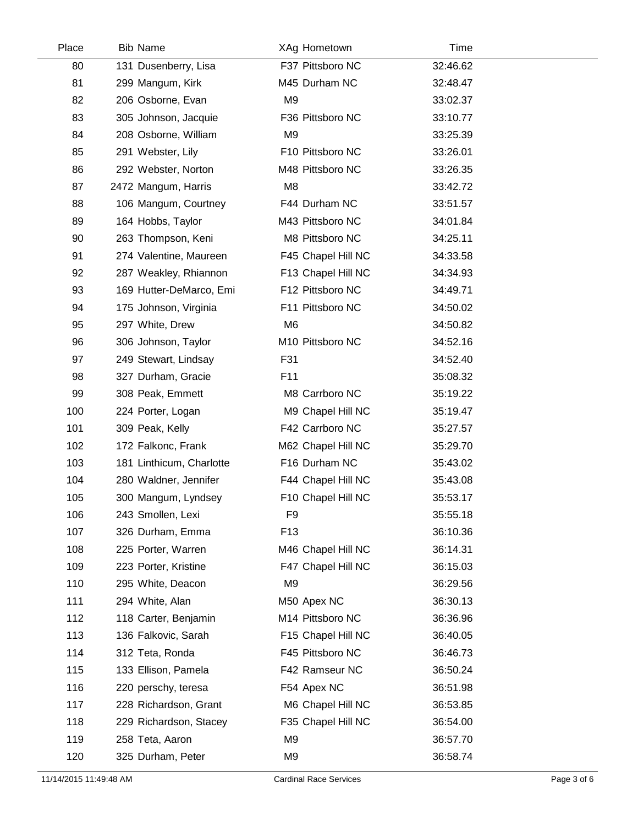| Place | <b>Bib Name</b>          | XAg Hometown       | Time     |  |
|-------|--------------------------|--------------------|----------|--|
| 80    | 131 Dusenberry, Lisa     | F37 Pittsboro NC   | 32:46.62 |  |
| 81    | 299 Mangum, Kirk         | M45 Durham NC      | 32:48.47 |  |
| 82    | 206 Osborne, Evan        | M <sub>9</sub>     | 33:02.37 |  |
| 83    | 305 Johnson, Jacquie     | F36 Pittsboro NC   | 33:10.77 |  |
| 84    | 208 Osborne, William     | M <sub>9</sub>     | 33:25.39 |  |
| 85    | 291 Webster, Lily        | F10 Pittsboro NC   | 33:26.01 |  |
| 86    | 292 Webster, Norton      | M48 Pittsboro NC   | 33:26.35 |  |
| 87    | 2472 Mangum, Harris      | M <sub>8</sub>     | 33:42.72 |  |
| 88    | 106 Mangum, Courtney     | F44 Durham NC      | 33:51.57 |  |
| 89    | 164 Hobbs, Taylor        | M43 Pittsboro NC   | 34:01.84 |  |
| 90    | 263 Thompson, Keni       | M8 Pittsboro NC    | 34:25.11 |  |
| 91    | 274 Valentine, Maureen   | F45 Chapel Hill NC | 34:33.58 |  |
| 92    | 287 Weakley, Rhiannon    | F13 Chapel Hill NC | 34:34.93 |  |
| 93    | 169 Hutter-DeMarco, Emi  | F12 Pittsboro NC   | 34:49.71 |  |
| 94    | 175 Johnson, Virginia    | F11 Pittsboro NC   | 34:50.02 |  |
| 95    | 297 White, Drew          | M <sub>6</sub>     | 34:50.82 |  |
| 96    | 306 Johnson, Taylor      | M10 Pittsboro NC   | 34:52.16 |  |
| 97    | 249 Stewart, Lindsay     | F31                | 34:52.40 |  |
| 98    | 327 Durham, Gracie       | F11                | 35:08.32 |  |
| 99    | 308 Peak, Emmett         | M8 Carrboro NC     | 35:19.22 |  |
| 100   | 224 Porter, Logan        | M9 Chapel Hill NC  | 35:19.47 |  |
| 101   | 309 Peak, Kelly          | F42 Carrboro NC    | 35:27.57 |  |
| 102   | 172 Falkonc, Frank       | M62 Chapel Hill NC | 35:29.70 |  |
| 103   | 181 Linthicum, Charlotte | F16 Durham NC      | 35:43.02 |  |
| 104   | 280 Waldner, Jennifer    | F44 Chapel Hill NC | 35:43.08 |  |
| 105   | 300 Mangum, Lyndsey      | F10 Chapel Hill NC | 35:53.17 |  |
| 106   | 243 Smollen, Lexi        | F <sub>9</sub>     | 35:55.18 |  |
| 107   | 326 Durham, Emma         | F <sub>13</sub>    | 36:10.36 |  |
| 108   | 225 Porter, Warren       | M46 Chapel Hill NC | 36:14.31 |  |
| 109   | 223 Porter, Kristine     | F47 Chapel Hill NC | 36:15.03 |  |
| 110   | 295 White, Deacon        | M <sub>9</sub>     | 36:29.56 |  |
| 111   | 294 White, Alan          | M50 Apex NC        | 36:30.13 |  |
| 112   | 118 Carter, Benjamin     | M14 Pittsboro NC   | 36:36.96 |  |
| 113   | 136 Falkovic, Sarah      | F15 Chapel Hill NC | 36:40.05 |  |
| 114   | 312 Teta, Ronda          | F45 Pittsboro NC   | 36:46.73 |  |
| 115   | 133 Ellison, Pamela      | F42 Ramseur NC     | 36:50.24 |  |
| 116   | 220 perschy, teresa      | F54 Apex NC        | 36:51.98 |  |
| 117   | 228 Richardson, Grant    | M6 Chapel Hill NC  | 36:53.85 |  |
| 118   | 229 Richardson, Stacey   | F35 Chapel Hill NC | 36:54.00 |  |
| 119   | 258 Teta, Aaron          | M <sub>9</sub>     | 36:57.70 |  |
| 120   | 325 Durham, Peter        | M9                 | 36:58.74 |  |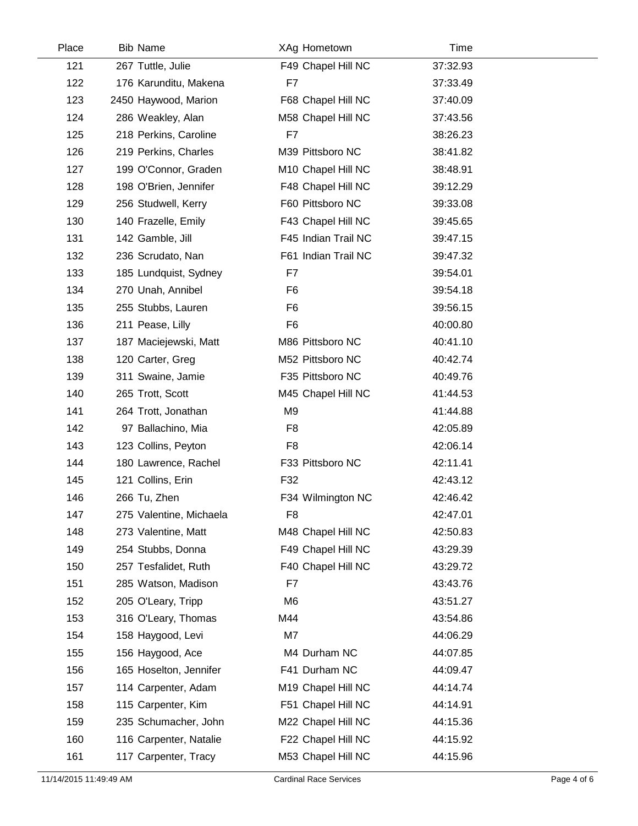| Place | <b>Bib Name</b>         | XAg Hometown        | Time     |  |
|-------|-------------------------|---------------------|----------|--|
| 121   | 267 Tuttle, Julie       | F49 Chapel Hill NC  | 37:32.93 |  |
| 122   | 176 Karunditu, Makena   | F7                  | 37:33.49 |  |
| 123   | 2450 Haywood, Marion    | F68 Chapel Hill NC  | 37:40.09 |  |
| 124   | 286 Weakley, Alan       | M58 Chapel Hill NC  | 37:43.56 |  |
| 125   | 218 Perkins, Caroline   | F7                  | 38:26.23 |  |
| 126   | 219 Perkins, Charles    | M39 Pittsboro NC    | 38:41.82 |  |
| 127   | 199 O'Connor, Graden    | M10 Chapel Hill NC  | 38:48.91 |  |
| 128   | 198 O'Brien, Jennifer   | F48 Chapel Hill NC  | 39:12.29 |  |
| 129   | 256 Studwell, Kerry     | F60 Pittsboro NC    | 39:33.08 |  |
| 130   | 140 Frazelle, Emily     | F43 Chapel Hill NC  | 39:45.65 |  |
| 131   | 142 Gamble, Jill        | F45 Indian Trail NC | 39:47.15 |  |
| 132   | 236 Scrudato, Nan       | F61 Indian Trail NC | 39:47.32 |  |
| 133   | 185 Lundquist, Sydney   | F7                  | 39:54.01 |  |
| 134   | 270 Unah, Annibel       | F <sub>6</sub>      | 39:54.18 |  |
| 135   | 255 Stubbs, Lauren      | F <sub>6</sub>      | 39:56.15 |  |
| 136   | 211 Pease, Lilly        | F <sub>6</sub>      | 40:00.80 |  |
| 137   | 187 Maciejewski, Matt   | M86 Pittsboro NC    | 40:41.10 |  |
| 138   | 120 Carter, Greg        | M52 Pittsboro NC    | 40:42.74 |  |
| 139   | 311 Swaine, Jamie       | F35 Pittsboro NC    | 40:49.76 |  |
| 140   | 265 Trott, Scott        | M45 Chapel Hill NC  | 41:44.53 |  |
| 141   | 264 Trott, Jonathan     | M <sub>9</sub>      | 41:44.88 |  |
| 142   | 97 Ballachino, Mia      | F <sub>8</sub>      | 42:05.89 |  |
| 143   | 123 Collins, Peyton     | F <sub>8</sub>      | 42:06.14 |  |
| 144   | 180 Lawrence, Rachel    | F33 Pittsboro NC    | 42:11.41 |  |
| 145   | 121 Collins, Erin       | F32                 | 42:43.12 |  |
| 146   | 266 Tu, Zhen            | F34 Wilmington NC   | 42:46.42 |  |
| 147   | 275 Valentine, Michaela | F <sub>8</sub>      | 42:47.01 |  |
| 148   | 273 Valentine, Matt     | M48 Chapel Hill NC  | 42:50.83 |  |
| 149   | 254 Stubbs, Donna       | F49 Chapel Hill NC  | 43:29.39 |  |
| 150   | 257 Tesfalidet, Ruth    | F40 Chapel Hill NC  | 43:29.72 |  |
| 151   | 285 Watson, Madison     | F7                  | 43:43.76 |  |
| 152   | 205 O'Leary, Tripp      | M <sub>6</sub>      | 43:51.27 |  |
| 153   | 316 O'Leary, Thomas     | M44                 | 43:54.86 |  |
| 154   | 158 Haygood, Levi       | M7                  | 44:06.29 |  |
| 155   | 156 Haygood, Ace        | M4 Durham NC        | 44:07.85 |  |
| 156   | 165 Hoselton, Jennifer  | F41 Durham NC       | 44:09.47 |  |
| 157   | 114 Carpenter, Adam     | M19 Chapel Hill NC  | 44:14.74 |  |
| 158   | 115 Carpenter, Kim      | F51 Chapel Hill NC  | 44:14.91 |  |
| 159   | 235 Schumacher, John    | M22 Chapel Hill NC  | 44:15.36 |  |
| 160   | 116 Carpenter, Natalie  | F22 Chapel Hill NC  | 44:15.92 |  |
| 161   | 117 Carpenter, Tracy    | M53 Chapel Hill NC  | 44:15.96 |  |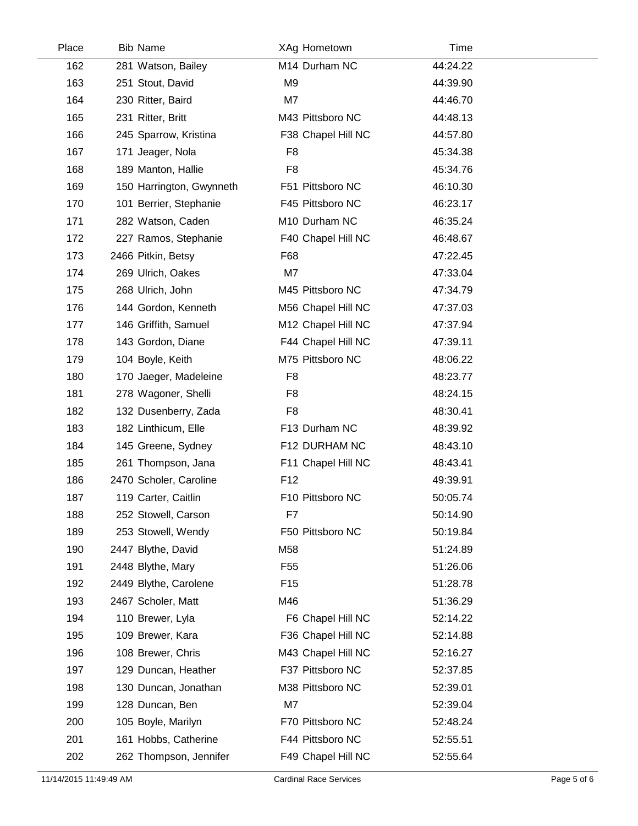| Place | <b>Bib Name</b>          | XAg Hometown       | Time     |  |
|-------|--------------------------|--------------------|----------|--|
| 162   | 281 Watson, Bailey       | M14 Durham NC      | 44:24.22 |  |
| 163   | 251 Stout, David         | M <sub>9</sub>     | 44:39.90 |  |
| 164   | 230 Ritter, Baird        | M7                 | 44:46.70 |  |
| 165   | 231 Ritter, Britt        | M43 Pittsboro NC   | 44:48.13 |  |
| 166   | 245 Sparrow, Kristina    | F38 Chapel Hill NC | 44:57.80 |  |
| 167   | 171 Jeager, Nola         | F <sub>8</sub>     | 45:34.38 |  |
| 168   | 189 Manton, Hallie       | F <sub>8</sub>     | 45:34.76 |  |
| 169   | 150 Harrington, Gwynneth | F51 Pittsboro NC   | 46:10.30 |  |
| 170   | 101 Berrier, Stephanie   | F45 Pittsboro NC   | 46:23.17 |  |
| 171   | 282 Watson, Caden        | M10 Durham NC      | 46:35.24 |  |
| 172   | 227 Ramos, Stephanie     | F40 Chapel Hill NC | 46:48.67 |  |
| 173   | 2466 Pitkin, Betsy       | F68                | 47:22.45 |  |
| 174   | 269 Ulrich, Oakes        | M7                 | 47:33.04 |  |
| 175   | 268 Ulrich, John         | M45 Pittsboro NC   | 47:34.79 |  |
| 176   | 144 Gordon, Kenneth      | M56 Chapel Hill NC | 47:37.03 |  |
| 177   | 146 Griffith, Samuel     | M12 Chapel Hill NC | 47:37.94 |  |
| 178   | 143 Gordon, Diane        | F44 Chapel Hill NC | 47:39.11 |  |
| 179   | 104 Boyle, Keith         | M75 Pittsboro NC   | 48:06.22 |  |
| 180   | 170 Jaeger, Madeleine    | F <sub>8</sub>     | 48:23.77 |  |
| 181   | 278 Wagoner, Shelli      | F <sub>8</sub>     | 48:24.15 |  |
| 182   | 132 Dusenberry, Zada     | F <sub>8</sub>     | 48:30.41 |  |
| 183   | 182 Linthicum, Elle      | F13 Durham NC      | 48:39.92 |  |
| 184   | 145 Greene, Sydney       | F12 DURHAM NC      | 48:43.10 |  |
| 185   | 261 Thompson, Jana       | F11 Chapel Hill NC | 48:43.41 |  |
| 186   | 2470 Scholer, Caroline   | F <sub>12</sub>    | 49:39.91 |  |
| 187   | 119 Carter, Caitlin      | F10 Pittsboro NC   | 50:05.74 |  |
| 188   | 252 Stowell, Carson      | F7                 | 50:14.90 |  |
| 189   | 253 Stowell, Wendy       | F50 Pittsboro NC   | 50:19.84 |  |
| 190   | 2447 Blythe, David       | M58                | 51:24.89 |  |
| 191   | 2448 Blythe, Mary        | F55                | 51:26.06 |  |
| 192   | 2449 Blythe, Carolene    | F <sub>15</sub>    | 51:28.78 |  |
| 193   | 2467 Scholer, Matt       | M46                | 51:36.29 |  |
| 194   | 110 Brewer, Lyla         | F6 Chapel Hill NC  | 52:14.22 |  |
| 195   | 109 Brewer, Kara         | F36 Chapel Hill NC | 52:14.88 |  |
| 196   | 108 Brewer, Chris        | M43 Chapel Hill NC | 52:16.27 |  |
| 197   | 129 Duncan, Heather      | F37 Pittsboro NC   | 52:37.85 |  |
| 198   | 130 Duncan, Jonathan     | M38 Pittsboro NC   | 52:39.01 |  |
| 199   | 128 Duncan, Ben          | M7                 | 52:39.04 |  |
| 200   | 105 Boyle, Marilyn       | F70 Pittsboro NC   | 52:48.24 |  |
| 201   | 161 Hobbs, Catherine     | F44 Pittsboro NC   | 52:55.51 |  |
| 202   | 262 Thompson, Jennifer   | F49 Chapel Hill NC | 52:55.64 |  |